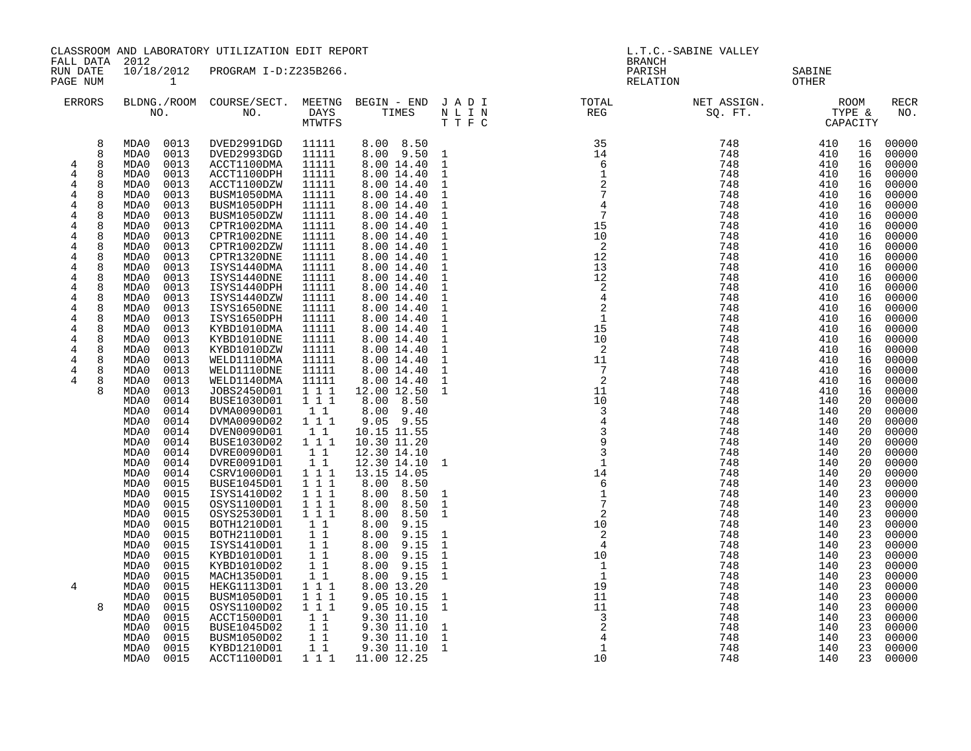| FALL DATA 2012                                                                                                                                                                                                                                                                                                                                                       |                                                                                                                                                                                                                                              | CLASSROOM AND LABORATORY UTILIZATION EDIT REPORT<br>L.T.C.-SABINE VALLEY<br><b>BRANCH</b>                                                                                                                                                    |                                                                                                                                                                                                                                                                                                                                                                                                                                                                |                                                                                                                                                                                                                                                                      |                                                                                                                                                                                                                                                                                                                                                                                                                                      |                                                                                                                                                                                                                                                                                                                                                                                 |                                                                                                                                                                                                               |                                                                                                                                                                                                                                                                                                                                                                                                                                          |                                                                                  |                                                                                                                                                                                  |                                                                                                                                                                                                                                                                            |
|----------------------------------------------------------------------------------------------------------------------------------------------------------------------------------------------------------------------------------------------------------------------------------------------------------------------------------------------------------------------|----------------------------------------------------------------------------------------------------------------------------------------------------------------------------------------------------------------------------------------------|----------------------------------------------------------------------------------------------------------------------------------------------------------------------------------------------------------------------------------------------|----------------------------------------------------------------------------------------------------------------------------------------------------------------------------------------------------------------------------------------------------------------------------------------------------------------------------------------------------------------------------------------------------------------------------------------------------------------|----------------------------------------------------------------------------------------------------------------------------------------------------------------------------------------------------------------------------------------------------------------------|--------------------------------------------------------------------------------------------------------------------------------------------------------------------------------------------------------------------------------------------------------------------------------------------------------------------------------------------------------------------------------------------------------------------------------------|---------------------------------------------------------------------------------------------------------------------------------------------------------------------------------------------------------------------------------------------------------------------------------------------------------------------------------------------------------------------------------|---------------------------------------------------------------------------------------------------------------------------------------------------------------------------------------------------------------|------------------------------------------------------------------------------------------------------------------------------------------------------------------------------------------------------------------------------------------------------------------------------------------------------------------------------------------------------------------------------------------------------------------------------------------|----------------------------------------------------------------------------------|----------------------------------------------------------------------------------------------------------------------------------------------------------------------------------|----------------------------------------------------------------------------------------------------------------------------------------------------------------------------------------------------------------------------------------------------------------------------|
| RUN DATE<br>PAGE NUM                                                                                                                                                                                                                                                                                                                                                 |                                                                                                                                                                                                                                              | 10/18/2012<br>$\mathbf{1}$                                                                                                                                                                                                                   | PROGRAM I-D:Z235B266.                                                                                                                                                                                                                                                                                                                                                                                                                                          |                                                                                                                                                                                                                                                                      |                                                                                                                                                                                                                                                                                                                                                                                                                                      |                                                                                                                                                                                                                                                                                                                                                                                 | PARISH<br>RELATION                                                                                                                                                                                            |                                                                                                                                                                                                                                                                                                                                                                                                                                          | SABINE<br>OTHER                                                                  |                                                                                                                                                                                  |                                                                                                                                                                                                                                                                            |
| ERRORS                                                                                                                                                                                                                                                                                                                                                               |                                                                                                                                                                                                                                              |                                                                                                                                                                                                                                              |                                                                                                                                                                                                                                                                                                                                                                                                                                                                | MTWTFS                                                                                                                                                                                                                                                               |                                                                                                                                                                                                                                                                                                                                                                                                                                      | TTFC                                                                                                                                                                                                                                                                                                                                                                            | BLDNG./ROOM COURSE/SECT. MEETNG BEGIN – END J A D I TOTAL TOTAL DAYS TIMES N L I N REG REG N U T T R C                                                                                                        | NET ASSIGN.<br>SQ. FT.<br>CAPACITY                                                                                                                                                                                                                                                                                                                                                                                                       |                                                                                  |                                                                                                                                                                                  | RECR<br>NO.                                                                                                                                                                                                                                                                |
| 8<br>8<br>$\overline{4}$<br>8<br>$\overline{4}$<br>8<br>8<br>4<br>4<br>8<br>4<br>8<br>$\overline{4}$<br>8<br>4<br>8<br>$\overline{4}$<br>8<br>4<br>8<br>$\overline{4}$<br>8<br>8<br>4<br>$\overline{4}$<br>8<br>$\overline{4}$<br>8<br>4<br>8<br>4<br>8<br>$\overline{4}$<br>8<br>4<br>8<br>$\overline{4}$<br>8<br>$\overline{4}$<br>8<br>4<br>8<br>4<br>8<br>4<br>8 | MDA0<br>MDA0<br>MDA0<br>MDA0<br>MDA0<br>MDA0<br>MDA0<br>MDA0<br>MDA0<br>MDA0<br>MDA0<br>MDA0<br>MDA0<br>MDA0<br>MDA0<br>MDA0<br>MDA0<br>MDA0<br>MDA0<br>MDA0<br>MDA0<br>MDA0<br>MDA0<br>MDA0<br>MDA0<br>MDA0<br>MDA0<br>MDA0<br>MDA0<br>MDA0 | 0013<br>0013<br>0013<br>0013<br>0013<br>0013<br>0013<br>0013<br>0013<br>0013<br>0013<br>0013<br>0013<br>0013<br>0013<br>0013<br>0013<br>0013<br>0013<br>0013<br>0013<br>0013<br>0013<br>0013<br>0013<br>0014<br>0014<br>0014<br>0014<br>0014 | DVED2991DGD<br>DVED2993DGD<br>ACCT1100DMA<br>ACCT1100DPH<br>ACCT1100DZW<br>BUSM1050DMA<br>BUSM1050DPH<br>BUSM1050DZW<br>CPTR1002DMA<br>CPTR1002DNE<br>CPTR1002DZW<br>CPTR1320DNE<br>ISYS1440DMA<br>ISYS1440DNE<br>ISYS1440DPH<br>ISYS1440DZW<br>ISYS1650DNE<br>ISYS1650DPH<br>KYBD1010DMA<br>KYBD1010DNE<br>KYBD1010DZW<br>WELD1110DMA<br>WELD1110DNE<br>WELD1140DMA<br>JOBS2450D01<br>BUSE1030D01<br>DVMA0090D01<br>DVMA0090D02<br>DVEN0090D01<br>BUSE1030D02 | 11111<br>11111<br>11111<br>11111<br>11111<br>11111<br>11111<br>11111<br>11111<br>11111<br>11111<br>11111<br>11111<br>11111<br>11111<br>11111<br>11111<br>11111<br>11111<br>11111<br>11111<br>11111<br>11111<br>11111<br>111<br>$1 1 1$<br>11<br>1 1 1<br>11<br>1 1 1 | 8.00 8.50<br>8.00 9.50<br>8.00 14.40<br>8.00 14.40<br>8.00 14.40<br>8.00 14.40<br>8.00 14.40<br>8.00 14.40<br>8.00 14.40<br>8.00 14.40<br>8.00 14.40<br>8.00 14.40<br>8.00 14.40<br>8.00 14.40<br>8.00 14.40<br>8.00 14.40<br>8.00 14.40<br>8.00 14.40<br>8.00 14.40<br>8.00 14.40<br>8.00 14.40<br>8.00 14.40<br>8.00 14.40<br>8.00 14.40<br>12.00 12.50<br>8.00 8.50<br>$8.00$ 9.40<br>$9.05$ $9.55$<br>10.15 11.55<br>10.30 11.20 | $\mathbf{1}$<br>$\mathbf{1}$<br>$\mathbf{1}$<br>$\mathbf{1}$<br>$\mathbf{1}$<br>$\mathbf{1}$<br>$\mathbf{1}$<br>$\mathbf{1}$<br>$\mathbf{1}$<br>$\frac{1}{1}$<br>$\mathbf{1}$<br>$\mathbf{1}$<br>$\mathbf{1}$<br>$\overline{1}$<br>$\mathbf{1}$<br>$\mathbf{1}$<br>$\mathbf{1}$<br>$\mathbf{1}$<br>$\mathbf{1}$<br>$\mathbf{1}$<br>$\mathbf{1}$<br>$\mathbf{1}$<br>$\mathbf{1}$ | $\overline{\phantom{a}}^2$<br>$\begin{smallmatrix}2\\1\end{smallmatrix}$<br>$\frac{-7}{2}$<br>$\begin{array}{c} 2 \\ 11 \\ 10 \\ 3 \\ 4 \\ 3 \\ 9 \\ 3 \\ 1 \\ 4 \\ 6 \\ 1 \\ 7 \\ 2 \\ \end{array}$          | $\begin{array}{cccc} \text{C} & \text{C} & \text{C} & \text{C} \\ \text{C} & \text{C} & \text{C} \\ \text{C} & \text{C} & \text{C} \\ \text{C} & \text{C} & \text{C} \\ \text{C} & \text{C} & \text{C} \\ \text{C} & \text{C} & \text{C} \\ \text{C} & \text{C} & \text{C} \\ \text{C} & \text{C} & \text{C} \\ \text{C} & \text{C} & \text{C} \\ \text{C} & \text{C} & \text{C} \\ \text{C} & \text{C} & \text{C} \\ \text{C} & \text{$ |                                                                                  | 16<br>16<br>16<br>16<br>16<br>16<br>16<br>16<br>16<br>16<br>16<br>16<br>16<br>16<br>16<br>16<br>16<br>16<br>16<br>16<br>16<br>16<br>16<br>16<br>16<br>20<br>20<br>20<br>20<br>20 | 00000<br>00000<br>00000<br>00000<br>00000<br>00000<br>00000<br>00000<br>00000<br>00000<br>00000<br>00000<br>00000<br>00000<br>00000<br>00000<br>00000<br>00000<br>00000<br>00000<br>00000<br>00000<br>00000<br>00000<br>00000<br>00000<br>00000<br>00000<br>00000<br>00000 |
| 4<br>8                                                                                                                                                                                                                                                                                                                                                               | MDA0<br>MDA0<br>MDA0<br>MDA0<br>MDA0<br>MDA0<br>MDA0<br>MDA0<br>MDA0<br>MDA0<br>MDA0<br>MDA0<br>MDA0<br>MDA0<br>MDA0<br>MDA0<br>MDA0<br>MDA0<br>MDA0<br>MDA0<br>MDA0                                                                         | 0014<br>0014<br>0014<br>0015<br>0015<br>0015<br>0015<br>0015<br>0015<br>0015<br>0015<br>0015<br>0015<br>0015<br>0015<br>0015<br>0015<br>0015<br>0015<br>0015<br>0015                                                                         | DVRE0090D01<br>DVRE0091D01<br>CSRV1000D01<br><b>BUSE1045D01</b><br>ISYS1410D02<br>OSYS1100D01<br>OSYS2530D01<br>BOTH1210D01<br>BOTH2110D01<br>ISYS1410D01<br>KYBD1010D01<br>KYBD1010D02<br>MACH1350D01<br>HEKG1113D01<br>BUSM1050D01<br>OSYS1100D02<br>ACCT1500D01<br>BUSE1045D02<br>BUSM1050D02<br>KYBD1210D01<br>ACCT1100D01                                                                                                                                 | 11<br>11<br>111<br>1 1 1<br>$1 1 1$<br>1 1 1<br>1 1 1<br>11<br>11<br>11<br>$11$<br>$1\quad1$<br>11<br>$1\hspace{0.1cm} 1\hspace{0.1cm} 1$<br>$1 1 1$<br>1 1 1<br>1 1<br>$1\quad1$<br>$1\quad1$<br>11                                                                 | 12.30 14.10<br>12.30 14.10<br>13.15 14.05<br>8.00 8.50<br>$8.00$ $8.50$<br>8.00 8.50<br>8.00 8.50<br>8.00<br>9.15<br>8.00 9.15<br>8.00 9.15<br>8.00 9.15<br>8.00 9.15<br>8.00 9.15<br>8.00 13.20<br>9.05 10.15<br>9.05 10.15<br>9.30 11.10<br>9.30 11.10<br>$9.30$ 11.10<br>9.30 11.10<br>1 1 1 1 11.00 12.25                                                                                                                        | $\mathbf{1}$<br>$\mathbf{1}$<br>$\mathbf{1}$<br>$\mathbf{1}$<br>$\mathbf{1}$<br>$\mathbf{1}$<br>$\mathbf{1}$<br>$\mathbf{1}$<br>$\mathbf{1}$<br>$\mathbf{1}$<br>$\mathbf{1}$<br>$\mathbf{1}$<br>$\mathbf{1}$<br>$\mathbf{1}$                                                                                                                                                    | $\overline{2}$<br>$\frac{1}{2}$<br>$\frac{1}{2}$<br>$\overline{4}$<br>10<br>$\overline{1}$<br>$\overline{1}$<br>19<br>11<br>11<br>$\begin{array}{c} -\frac{1}{3} \\ 2 \\ 4 \end{array}$<br>$\mathbf{1}$<br>10 | 748<br>748<br>748<br>748<br>748<br>748<br>748<br>748<br>748<br>748<br>748<br>748                                                                                                                                                                                                                                                                                                                                                         | 140<br>140<br>140<br>140<br>140<br>140<br>140<br>140<br>140<br>140<br>140<br>140 | 20<br>20<br>20<br>23<br>23<br>23<br>23<br>23<br>23<br>23<br>23<br>23<br>23<br>23<br>23<br>23<br>23<br>23<br>23<br>23<br>23                                                       | 00000<br>00000<br>00000<br>00000<br>00000<br>00000<br>00000<br>00000<br>00000<br>00000<br>00000<br>00000<br>00000<br>00000<br>00000<br>00000<br>00000<br>00000<br>00000<br>00000<br>00000                                                                                  |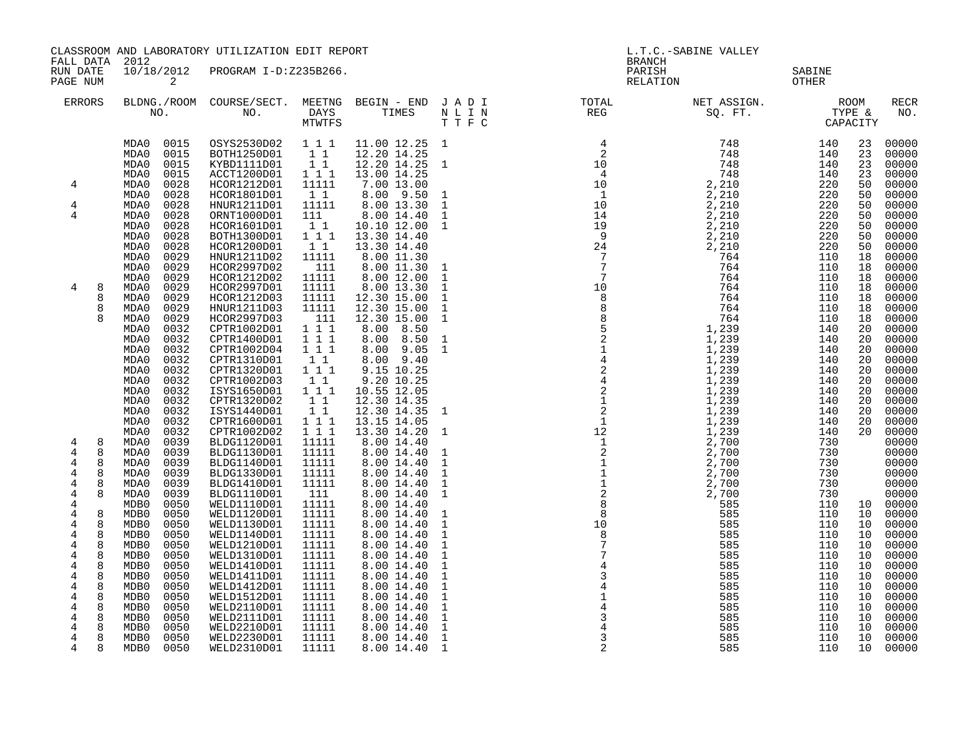| FALL DATA                                                 | CLASSROOM AND LABORATORY UTILIZATION EDIT REPORT<br>2012                     |                                                                                            |                                    |                                                                       |                                                              | L.T.C.-SABINE VALLEY<br><b>BRANCH</b>                                                                                                                                                     |                                    |                                 |                            |                                           |
|-----------------------------------------------------------|------------------------------------------------------------------------------|--------------------------------------------------------------------------------------------|------------------------------------|-----------------------------------------------------------------------|--------------------------------------------------------------|-------------------------------------------------------------------------------------------------------------------------------------------------------------------------------------------|------------------------------------|---------------------------------|----------------------------|-------------------------------------------|
| RUN DATE<br>PAGE NUM                                      | 10/18/2012<br>2                                                              | PROGRAM I-D:Z235B266.                                                                      |                                    |                                                                       |                                                              | PARISH<br>RELATION                                                                                                                                                                        |                                    | SABINE<br>OTHER                 |                            |                                           |
| ERRORS                                                    |                                                                              | BLDNG./ROOM COURSE/SECT. MEETNG BEGIN – END J A D I TOTAL TOTAL DAYS TIMES N L I N REG REG | MTWTFS                             |                                                                       | TTFC                                                         |                                                                                                                                                                                           | NET ASSIGN.<br>SQ. FT.<br>CAPACITY |                                 |                            | RECR<br>NO.                               |
|                                                           | 0015<br>MDA0<br>MDA0<br>0015<br>0015<br>MDA0<br>MDA0<br>0015                 | OSYS2530D02 111<br>BOTH1250D01<br>KYBD1111D01<br>ACCT1200D01                               | $1\quad1$<br>$1\quad1$<br>1 1 1    | 11.00 12.25 1<br>12.20 14.25<br>12.20 14.25 1<br>13.00 14.25          |                                                              | $\begin{array}{cc} 4 & 748 \\ 2 & 748 \\ 10 & 748 \\ 4 & 748 \\ 10 & 2,210 \\ 10 & 2,210 \\ 14 & 2,210 \\ 14 & 2,210 \\ 19 & 2,210 \\ 24 & 2,210 \\ 24 & 2,210 \\ 7 & 764 \\ \end{array}$ |                                    | 140<br>140<br>140<br>140        | 23<br>23<br>23<br>23       | 00000<br>00000<br>00000<br>00000          |
| 4<br>4                                                    | 0028<br>MDA0<br>MDA0<br>0028<br>MDA0<br>0028                                 | HCOR1212D01<br>HCOR1801D01<br>HNUR1211D01                                                  | 11111<br>11<br>11111               | 7.00 13.00<br>8.00 9.50<br>8.00 13.30                                 | $\frac{1}{1}$                                                |                                                                                                                                                                                           |                                    | 220<br>220<br>220               | 50<br>50<br>50             | 00000<br>00000<br>00000                   |
| 4                                                         | MDA0<br>0028<br>MDA0<br>0028<br>0028<br>MDA0<br>MDA0<br>0028<br>MDA0<br>0029 | ORNT1000D01<br>HCOR1601D01<br>BOTH1300D01<br>HCOR1200D01<br>HNUR1211D02                    | 111<br>11<br>1 1 1<br>11<br>11111  | 8.00 14.40<br>10.10 12.00<br>13.30 14.40<br>13.30 14.40<br>8.00 11.30 | $\mathbf{1}$<br>$\mathbf{1}$                                 |                                                                                                                                                                                           |                                    | 220<br>220<br>220<br>220<br>110 | 50<br>50<br>50<br>50<br>18 | 00000<br>00000<br>00000<br>00000<br>00000 |
| 4<br>8<br>8                                               | 0029<br>MDA0<br>0029<br>MDA0<br>0029<br>MDA0<br>0029<br>MDA0                 | HCOR2997D02<br>HCOR1212D02<br>HCOR2997D01<br>HCOR1212D03                                   | 111<br>11111<br>11111<br>11111     | 8.00 11.30<br>8.00 12.00<br>8.00 13.30<br>12.30 15.00                 | $\mathbf{1}$<br>$\mathbf{1}$<br>$\mathbf{1}$<br>$\mathbf{1}$ |                                                                                                                                                                                           | 764<br>764<br>764                  | 110<br>110<br>110<br>110        | 18<br>18<br>18<br>18       | 00000<br>00000<br>00000<br>00000          |
| 8                                                         | 0029<br>MDA0<br>MDA0<br>0029<br>MDA0<br>0032<br>MDA0<br>0032                 | HNUR1211D03<br>HCOR2997D03<br>CPTR1002D01<br>CPTR1400D01                                   | 11111<br>111<br>1 1 1<br>111       | 12.30 15.00<br>12.30 15.00<br>8.00 8.50<br>8.00 8.50                  | $\mathbf{1}$<br>$\mathbf{1}$<br>$\mathbf{1}$                 |                                                                                                                                                                                           | 764                                | 110                             | 18<br>18<br>20<br>20       | 00000<br>00000<br>00000<br>00000          |
|                                                           | MDA0<br>0032<br>MDA0<br>0032<br>0032<br>MDA0<br>MDA0<br>0032                 | CPTR1002D04<br>CPTR1310D01<br>CPTR1320D01<br>CPTR1002D03                                   | 1 1 1<br>11<br>$1 1 1$<br>11       | 8.00 9.05<br>8.00 9.40<br>9.15 10.25<br>9.20 10.25                    | $\mathbf{1}$                                                 |                                                                                                                                                                                           |                                    |                                 | 20<br>20<br>20<br>20       | 00000<br>00000<br>00000<br>00000          |
|                                                           | 0032<br>MDA0<br>MDA0<br>0032<br>MDA0<br>0032<br>0032<br>MDA0                 | ISYS1650D01<br>CPTR1320D02<br>ISYS1440D01<br>CPTR1600D01                                   | 1 1 1<br>11<br>11<br>1 1 1         | 10.55 12.05<br>12.30 14.35<br>12.30 14.35<br>13.15 14.05              | 1                                                            |                                                                                                                                                                                           |                                    |                                 | 20<br>20<br>20<br>20       | 00000<br>00000<br>00000<br>00000          |
| 8<br>4<br>4<br>8<br>4<br>8                                | 0032<br>MDA0<br>0039<br>MDA0<br>0039<br>MDA0<br>0039<br>MDA0                 | CPTR1002D02<br>BLDG1120D01<br>BLDG1130D01<br>BLDG1140D01                                   | $1 1 1$<br>11111<br>11111<br>11111 | 13.30 14.20<br>8.00 14.40<br>8.00 14.40<br>8.00 14.40                 | 1<br>$\mathbf{1}$<br>$\mathbf{1}$                            |                                                                                                                                                                                           |                                    |                                 | 20                         | 00000<br>00000<br>00000<br>00000          |
| $\overline{4}$<br>8<br>4<br>8<br>$\overline{4}$<br>8<br>4 | 0039<br>MDA0<br>0039<br>MDA0<br>0039<br>MDA0<br>0050<br>MDB0                 | BLDG1330D01<br>BLDG1410D01<br>BLDG1110D01<br>WELD1110D01                                   | 11111<br>11111<br>111<br>11111     | 8.00 14.40<br>8.00 14.40<br>8.00 14.40<br>8.00 14.40                  | $\mathbf{1}$<br>$\mathbf{1}$<br>$\mathbf{1}$                 |                                                                                                                                                                                           | 2 , 700<br>2 , 700<br>2 , 700      |                                 |                            | 00000<br>00000<br>00000<br>10 00000       |
| $\overline{4}$<br>8<br>4<br>8<br>$\overline{4}$<br>8      | 0050<br>MDB0<br>0050<br>MDB0<br>MDB0<br>0050                                 | WELD1120D01<br>WELD1130D01<br>WELD1140D01                                                  | 11111<br>11111<br>11111            | 8.00 14.40<br>8.00 14.40<br>8.00 14.40                                | $\mathbf{1}$<br>$\mathbf{1}$<br>$\mathbf{1}$                 | $\overline{8}$<br>$\frac{10}{3}$<br>8                                                                                                                                                     | 585<br>585                         | 110<br>110                      | 10<br>10<br>10             | 00000<br>00000<br>00000                   |
| 8<br>4<br>4<br>8<br>4<br>8<br>$\overline{4}$<br>8         | 0050<br>MDB0<br>0050<br>MDB0<br>0050<br>MDB0<br>MDB0<br>0050                 | WELD1210D01<br>WELD1310D01<br>WELD1410D01<br>WELD1411D01                                   | 11111<br>11111<br>11111<br>11111   | 8.00 14.40<br>8.00 14.40<br>8.00 14.40<br>8.00 14.40                  | $\mathbf{1}$<br>$\mathbf{1}$<br>$\mathbf{1}$<br>$\mathbf{1}$ | $\frac{7}{4}$                                                                                                                                                                             | 585<br>585<br>585<br>585           | 110<br>110<br>110<br>110        | 10<br>10<br>10<br>10       | 00000<br>00000<br>00000<br>00000          |
| $\overline{4}$<br>8<br>8<br>4<br>4<br>8<br>4<br>8         | 0050<br>MDB0<br>0050<br>MDB0<br>0050<br>MDB0<br>MDB0<br>0050                 | WELD1412D01<br>WELD1512D01<br>WELD2110D01<br>WELD2111D01                                   | 11111<br>11111<br>11111<br>11111   | 8.00 14.40<br>8.00 14.40<br>8.00 14.40<br>8.00 14.40                  | $\mathbf{1}$<br>$\mathbf{1}$<br>$\mathbf{1}$<br>$\mathbf{1}$ | $\begin{array}{c} 3 \\ 4 \\ 1 \\ 4 \end{array}$<br>$\mathbf{3}$                                                                                                                           | 585<br>585<br>585<br>585           | 110<br>110<br>110<br>110        | 10<br>10<br>10<br>10       | 00000<br>00000<br>00000<br>00000          |
| 4<br>8<br>8<br>4<br>8<br>4                                | 0050<br>MDB0<br>0050<br>MDB0<br>MDB0<br>0050                                 | WELD2210D01<br>WELD2230D01<br>WELD2310D01                                                  | 11111<br>11111<br>11111            | 8.00 14.40<br>8.00 14.40<br>8.00 14.40                                | $\mathbf{1}$<br>$\mathbf{1}$<br>-1                           | $\mathbf{3}$<br>2                                                                                                                                                                         | 585<br>585<br>585                  | 110<br>110<br>110               | 10<br>10<br>10             | 00000<br>00000<br>00000                   |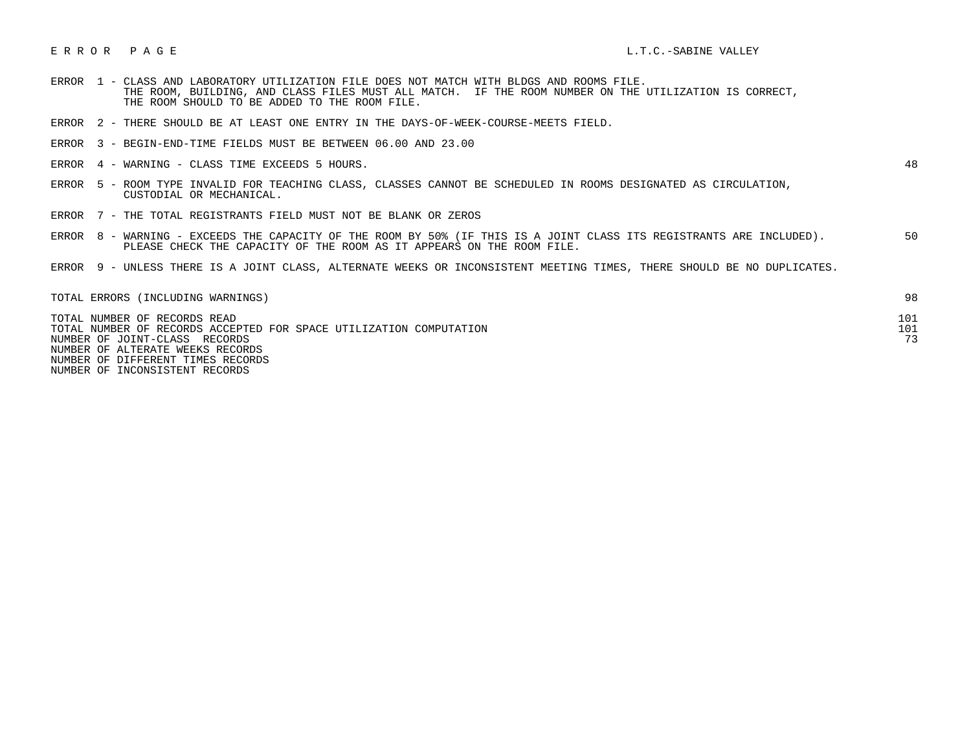## E R R O R P A G E L.T.C.-SABINE VALLEY

- ERROR 1 CLASS AND LABORATORY UTILIZATION FILE DOES NOT MATCH WITH BLDGS AND ROOMS FILE. THE ROOM, BUILDING, AND CLASS FILES MUST ALL MATCH. IF THE ROOM NUMBER ON THE UTILIZATION IS CORRECT, THE ROOM SHOULD TO BE ADDED TO THE ROOM FILE.
- ERROR 2 THERE SHOULD BE AT LEAST ONE ENTRY IN THE DAYS-OF-WEEK-COURSE-MEETS FIELD.
- ERROR 3 BEGIN-END-TIME FIELDS MUST BE BETWEEN 06.00 AND 23.00
- ERROR 4 WARNING CLASS TIME EXCEEDS 5 HOURS. 48

- ERROR 5 ROOM TYPE INVALID FOR TEACHING CLASS, CLASSES CANNOT BE SCHEDULED IN ROOMS DESIGNATED AS CIRCULATION, CUSTODIAL OR MECHANICAL.
- ERROR 7 THE TOTAL REGISTRANTS FIELD MUST NOT BE BLANK OR ZEROS
- ERROR 8 WARNING EXCEEDS THE CAPACITY OF THE ROOM BY 50% (IF THIS IS A JOINT CLASS ITS REGISTRANTS ARE INCLUDED). 50 PLEASE CHECK THE CAPACITY OF THE ROOM AS IT APPEARS ON THE ROOM FILE.
- ERROR 9 UNLESS THERE IS A JOINT CLASS, ALTERNATE WEEKS OR INCONSISTENT MEETING TIMES, THERE SHOULD BE NO DUPLICATES.

| TOTAL ERRORS (INCLUDING WARNINGS)                                  | 98  |
|--------------------------------------------------------------------|-----|
| TOTAL NUMBER OF RECORDS READ                                       | 101 |
| TOTAL NUMBER OF RECORDS ACCEPTED FOR SPACE UTILIZATION COMPUTATION | 101 |
| NUMBER OF JOINT-CLASS RECORDS                                      | 73  |
| NUMBER OF ALTERATE WEEKS RECORDS                                   |     |
| NUMBER OF DIFFERENT TIMES RECORDS                                  |     |

NUMBER OF INCONSISTENT RECORDS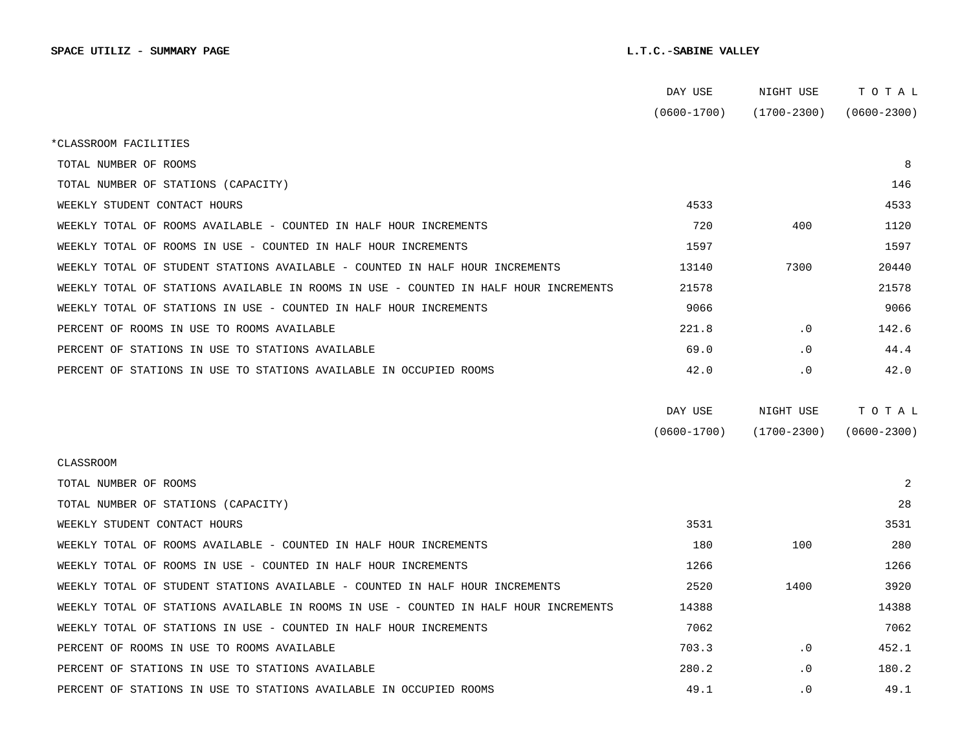|                                                                                      | DAY USE         | NIGHT USE       | тотаь           |
|--------------------------------------------------------------------------------------|-----------------|-----------------|-----------------|
|                                                                                      | $(0600 - 1700)$ | $(1700 - 2300)$ | $(0600 - 2300)$ |
| *CLASSROOM FACILITIES                                                                |                 |                 |                 |
| TOTAL NUMBER OF ROOMS                                                                |                 |                 | 8               |
| TOTAL NUMBER OF STATIONS (CAPACITY)                                                  |                 |                 | 146             |
| WEEKLY STUDENT CONTACT HOURS                                                         | 4533            |                 | 4533            |
| WEEKLY TOTAL OF ROOMS AVAILABLE - COUNTED IN HALF HOUR INCREMENTS                    | 720             | 400             | 1120            |
| WEEKLY TOTAL OF ROOMS IN USE - COUNTED IN HALF HOUR INCREMENTS                       | 1597            |                 | 1597            |
| WEEKLY TOTAL OF STUDENT STATIONS AVAILABLE - COUNTED IN HALF HOUR INCREMENTS         | 13140           | 7300            | 20440           |
| WEEKLY TOTAL OF STATIONS AVAILABLE IN ROOMS IN USE - COUNTED IN HALF HOUR INCREMENTS | 21578           |                 | 21578           |
| WEEKLY TOTAL OF STATIONS IN USE - COUNTED IN HALF HOUR INCREMENTS                    | 9066            |                 | 9066            |
| PERCENT OF ROOMS IN USE TO ROOMS AVAILABLE                                           | 221.8           | $\cdot$ 0       | 142.6           |
| PERCENT OF STATIONS IN USE TO STATIONS AVAILABLE                                     | 69.0            | $\cdot$ 0       | 44.4            |
| PERCENT OF STATIONS IN USE TO STATIONS AVAILABLE IN OCCUPIED ROOMS                   | 42.0            | $\cdot$ 0       | 42.0            |
|                                                                                      |                 |                 |                 |
|                                                                                      | DAY USE         | NIGHT USE       | TOTAL           |
|                                                                                      | $(0600 - 1700)$ | $(1700 - 2300)$ | $(0600 - 2300)$ |
| <b>CLASSROOM</b>                                                                     |                 |                 |                 |
| TOTAL NUMBER OF ROOMS                                                                |                 |                 | 2               |
| TOTAL NUMBER OF STATIONS (CAPACITY)                                                  |                 |                 | 28              |
| WEEKLY STUDENT CONTACT HOURS                                                         | 3531            |                 | 3531            |
| WEEKLY TOTAL OF ROOMS AVAILABLE - COUNTED IN HALF HOUR INCREMENTS                    | 180             | 100             | 280             |
| WEEKLY TOTAL OF ROOMS IN USE - COUNTED IN HALF HOUR INCREMENTS                       | 1266            |                 | 1266            |
| WEEKLY TOTAL OF STUDENT STATIONS AVAILABLE - COUNTED IN HALF HOUR INCREMENTS         | 2520            | 1400            | 3920            |
| WEEKLY TOTAL OF STATIONS AVAILABLE IN ROOMS IN USE - COUNTED IN HALF HOUR INCREMENTS | 14388           |                 | 14388           |
| WEEKLY TOTAL OF STATIONS IN USE - COUNTED IN HALF HOUR INCREMENTS                    | 7062            |                 | 7062            |
| PERCENT OF ROOMS IN USE TO ROOMS AVAILABLE                                           | 703.3           | $\cdot$ 0       | 452.1           |
| PERCENT OF STATIONS IN USE TO STATIONS AVAILABLE                                     | 280.2           | $\cdot$ 0       | 180.2           |
|                                                                                      |                 |                 |                 |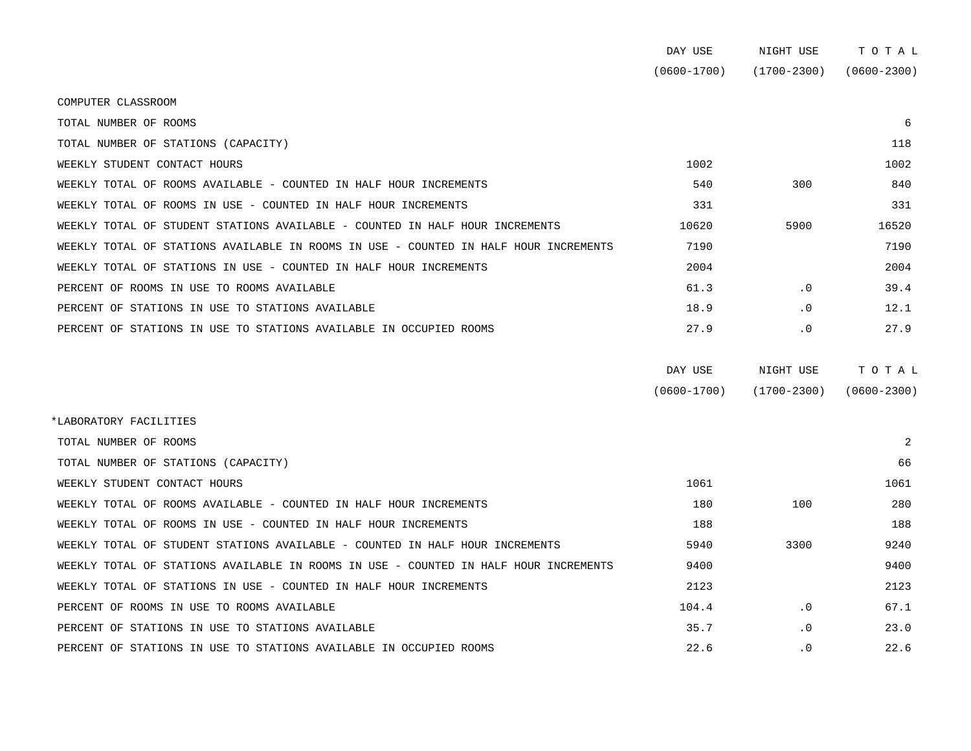|                                                                                      | DAY USE         | NIGHT USE       | TOTAL           |
|--------------------------------------------------------------------------------------|-----------------|-----------------|-----------------|
|                                                                                      | $(0600 - 1700)$ | $(1700 - 2300)$ | $(0600 - 2300)$ |
| COMPUTER CLASSROOM                                                                   |                 |                 |                 |
| TOTAL NUMBER OF ROOMS                                                                |                 |                 | 6               |
| TOTAL NUMBER OF STATIONS (CAPACITY)                                                  |                 |                 | 118             |
| WEEKLY STUDENT CONTACT HOURS                                                         | 1002            |                 | 1002            |
| WEEKLY TOTAL OF ROOMS AVAILABLE - COUNTED IN HALF HOUR INCREMENTS                    | 540             | 300             | 840             |
| WEEKLY TOTAL OF ROOMS IN USE - COUNTED IN HALF HOUR INCREMENTS                       | 331             |                 | 331             |
| WEEKLY TOTAL OF STUDENT STATIONS AVAILABLE - COUNTED IN HALF HOUR INCREMENTS         | 10620           | 5900            | 16520           |
| WEEKLY TOTAL OF STATIONS AVAILABLE IN ROOMS IN USE - COUNTED IN HALF HOUR INCREMENTS | 7190            |                 | 7190            |
| WEEKLY TOTAL OF STATIONS IN USE - COUNTED IN HALF HOUR INCREMENTS                    | 2004            |                 | 2004            |
| PERCENT OF ROOMS IN USE TO ROOMS AVAILABLE                                           | 61.3            | $\cdot$ 0       | 39.4            |
| PERCENT OF STATIONS IN USE TO STATIONS AVAILABLE                                     | 18.9            | $\cdot$ 0       | 12.1            |
| PERCENT OF STATIONS IN USE TO STATIONS AVAILABLE IN OCCUPIED ROOMS                   | 27.9            | $\cdot$ 0       | 27.9            |

| DAY USE         | NIGHT USE       | тотаь           |
|-----------------|-----------------|-----------------|
| $(0600 - 1700)$ | $(1700 - 2300)$ | $(0600 - 2300)$ |

| *LABORATORY FACILITIES                                                               |       |           |      |  |  |  |  |
|--------------------------------------------------------------------------------------|-------|-----------|------|--|--|--|--|
| TOTAL NUMBER OF ROOMS                                                                |       |           | 2    |  |  |  |  |
| TOTAL NUMBER OF STATIONS (CAPACITY)                                                  |       |           | 66   |  |  |  |  |
| WEEKLY STUDENT CONTACT HOURS                                                         | 1061  |           | 1061 |  |  |  |  |
| WEEKLY TOTAL OF ROOMS AVAILABLE - COUNTED IN HALF HOUR INCREMENTS                    | 180   | 100       | 280  |  |  |  |  |
| WEEKLY TOTAL OF ROOMS IN USE - COUNTED IN HALF HOUR INCREMENTS                       | 188   |           | 188  |  |  |  |  |
| WEEKLY TOTAL OF STUDENT STATIONS AVAILABLE - COUNTED IN HALF HOUR INCREMENTS         | 5940  | 3300      | 9240 |  |  |  |  |
| WEEKLY TOTAL OF STATIONS AVAILABLE IN ROOMS IN USE - COUNTED IN HALF HOUR INCREMENTS | 9400  |           | 9400 |  |  |  |  |
| WEEKLY TOTAL OF STATIONS IN USE - COUNTED IN HALF HOUR INCREMENTS                    | 2123  |           | 2123 |  |  |  |  |
| PERCENT OF ROOMS IN USE TO ROOMS AVAILABLE                                           | 104.4 | $\cdot$ 0 | 67.1 |  |  |  |  |
| PERCENT OF STATIONS IN USE TO STATIONS AVAILABLE                                     | 35.7  | $\cdot$ 0 | 23.0 |  |  |  |  |
| PERCENT OF STATIONS IN USE TO STATIONS AVAILABLE IN OCCUPIED ROOMS                   | 22.6  | $\cdot$ 0 | 22.6 |  |  |  |  |